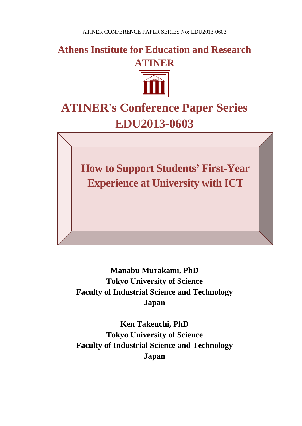**Athens Institute for Education and Research ATINER**



# **ATINER's Conference Paper Series EDU2013-0603**

**How to Support Students' First-Year Experience at University with ICT**

**Manabu Murakami, PhD Tokyo University of Science Faculty of Industrial Science and Technology Japan**

**Ken Takeuchi, PhD Tokyo University of Science Faculty of Industrial Science and Technology Japan**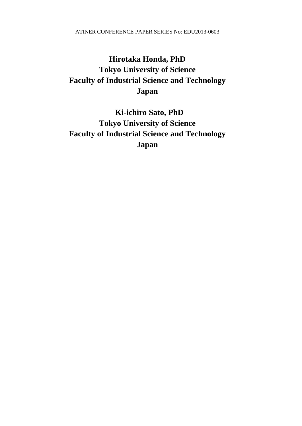### **Hirotaka Honda, PhD Tokyo University of Science Faculty of Industrial Science and Technology Japan**

 **Ki-ichiro Sato, PhD Tokyo University of Science Faculty of Industrial Science and Technology Japan**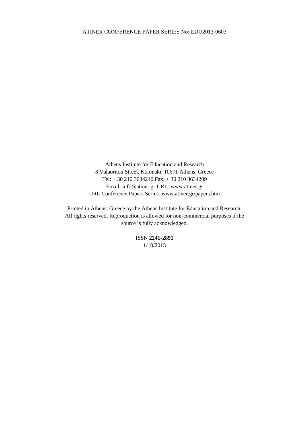Athens Institute for Education and Research 8 Valaoritou Street, Kolonaki, 10671 Athens, Greece Tel: + 30 210 3634210 Fax: + 30 210 3634209 Email: info@atiner.gr URL: www.atiner.gr URL Conference Papers Series: www.atiner.gr/papers.htm

Printed in Athens, Greece by the Athens Institute for Education and Research. All rights reserved. Reproduction is allowed for non-commercial purposes if the source is fully acknowledged.

> ISSN **2241-2891** 1/10/2013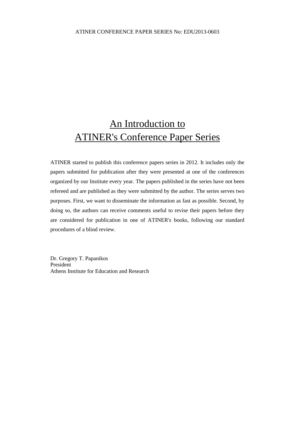## An Introduction to ATINER's Conference Paper Series

ATINER started to publish this conference papers series in 2012. It includes only the papers submitted for publication after they were presented at one of the conferences organized by our Institute every year. The papers published in the series have not been refereed and are published as they were submitted by the author. The series serves two purposes. First, we want to disseminate the information as fast as possible. Second, by doing so, the authors can receive comments useful to revise their papers before they are considered for publication in one of ATINER's books, following our standard procedures of a blind review.

Dr. Gregory T. Papanikos President Athens Institute for Education and Research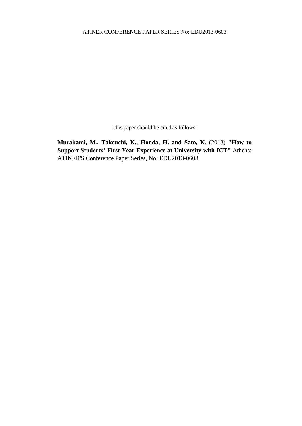This paper should be cited as follows:

**Murakami, M., Takeuchi, K., Honda, H. and Sato, K.** (2013) **"How to Support Students' First-Year Experience at University with ICT"** Athens: ATINER'S Conference Paper Series, No: EDU2013-0603.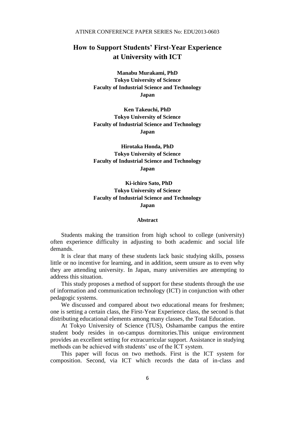### **How to Support Students' First-Year Experience at University with ICT**

**Manabu Murakami, PhD Tokyo University of Science Faculty of Industrial Science and Technology Japan**

**Ken Takeuchi, PhD Tokyo University of Science Faculty of Industrial Science and Technology Japan**

**Hirotaka Honda, PhD Tokyo University of Science Faculty of Industrial Science and Technology Japan**

 **Ki-ichiro Sato, PhD Tokyo University of Science Faculty of Industrial Science and Technology Japan**

#### **Abstract**

Students making the transition from high school to college (university) often experience difficulty in adjusting to both academic and social life demands.

It is clear that many of these students lack basic studying skills, possess little or no incentive for learning, and in addition, seem unsure as to even why they are attending university. In Japan, many universities are attempting to address this situation.

This study proposes a method of support for these students through the use of information and communication technology (ICT) in conjunction with other pedagogic systems.

We discussed and compared about two educational means for freshmen; one is setting a certain class, the First-Year Experience class, the second is that distributing educational elements among many classes, the Total Education.

At Tokyo University of Science (TUS), Oshamambe campus the entire student body resides in on-campus dormitories.This unique environment provides an excellent setting for extracurricular support. Assistance in studying methods can be achieved with students' use of the ICT system.

This paper will focus on two methods. First is the ICT system for composition. Second, via ICT which records the data of in-class and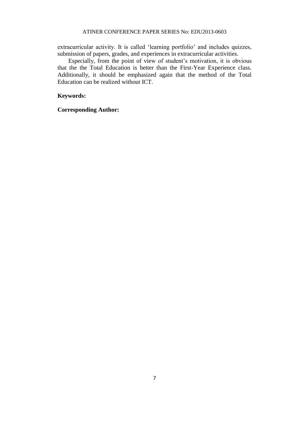extracurricular activity. It is called 'learning portfolio' and includes quizzes, submission of papers, grades, and experiences in extracurricular activities.

Especially, from the point of view of student's motivation, it is obvious that the the Total Education is better than the First-Year Experience class. Additionally, it should be emphasized again that the method of the Total Education can be realized without ICT.

#### **Keywords:**

**Corresponding Author:**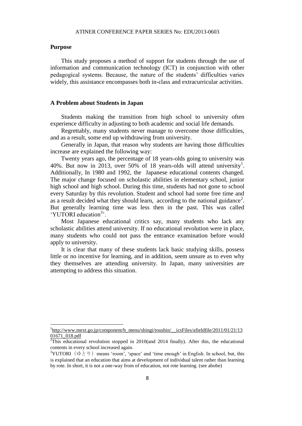#### **Purpose**

 $\overline{a}$ 

This study proposes a method of support for students through the use of information and communication technology (ICT) in conjunction with other pedagogical systems. Because, the nature of the students' difficulties varies widely, this assistance encompasses both in-class and extracurricular activities.

#### **A Problem about Students in Japan**

Students making the transition from high school to university often experience difficulty in adjusting to both academic and social life demands.

Regrettably, many students never manage to overcome those difficulties, and as a result, some end up withdrawing from university.

Generally in Japan, that reason why students are having those difficulties increase are explained the following way:

Twenty years ago, the percentage of 18 years-olds going to university was 40%. But now in 2013, over 50% of 18 years-olds will attend university<sup>1</sup>. Additionally, In 1980 and 1992, the Japanese educational contents changed. The major change focused on scholastic abilities in elementary school, junior high school and high school. During this time, students had not gone to school every Saturday by this revolution. Student and school had some free time and as a result decided what they should learn, according to the national guidance<sup>2</sup>. But generally learning time was less then in the past. This was called 'YUTORI education<sup>3</sup>'.

Most Japanese educational critics say, many students who lack any scholastic abilities attend university. If no educational revolution were in place, many students who could not pass the entrance examination before would apply to university.

It is clear that many of these students lack basic studying skills, possess little or no incentive for learning, and in addition, seem unsure as to even why they themselves are attending university. In Japan, many universities are attempting to address this situation.

<sup>&</sup>lt;sup>1</sup>http://www.mext.go.jp/component/b\_menu/shingi/toushin/\_\_icsFiles/afieldfile/2011/01/21/13 01671\_018.pdf

 $\overline{a^2}$ This educational revolution stopped in 2010(and 2014 finally). After this, the educational contents in every school increased again.

<sup>&</sup>lt;sup>3</sup>YUTORI (ゆとり) means 'room', 'space' and 'time enough' in English. In school, but, this is explained that an education that aims at development of individual talent rather than learning by rote. In short, it is not a one-way from of education, not rote learning. (see abobe)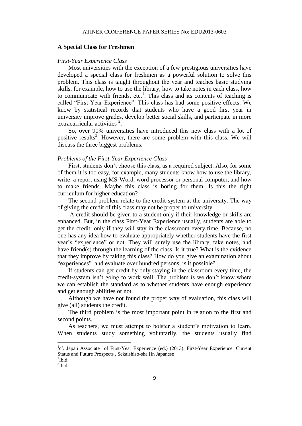#### **A Special Class for Freshmen**

#### *First-Year Experience Class*

Most universities with the exception of a few prestigious universities have developed a special class for freshmen as a powerful solution to solve this problem. This class is taught throughout the year and teaches basic studying skills, for example, how to use the library, how to take notes in each class, how to communicate with friends, etc.<sup>1</sup>. This class and its contents of teaching is called "First-Year Experience". This class has had some positive effects. We know by statistical records that students who have a good first year in university improve grades, develop better social skills, and participate in more extracurricular activities  $2$ .

So, over 90% universities have introduced this new class with a lot of positive results<sup>3</sup>. However, there are some problem with this class. We will discuss the three biggest problems.

#### *Problems of the First-Year Experience Class*

First, students don't choose this class, as a required subject. Also, for some of them it is too easy, for example, many students know how to use the library, write a report using MS-Word, word processor or personal computer, and how to make friends. Maybe this class is boring for them. Is this the right curriculum for higher education?

The second problem relate to the credit-system at the university. The way of giving the credit of this class may not be proper to university.

A credit should be given to a student only if their knowledge or skills are enhanced. But, in the class First-Year Experience usually, students are able to get the credit, only if they will stay in the classroom every time. Because, no one has any idea how to evaluate appropriately whether students have the first year's "experience" or not. They will surely use the library, take notes, and have friend(s) through the learning of the class. Is it true? What is the evidence that they improve by taking this class? How do you give an examination about "experiences" ,and evaluate over hundred persons, is it possible?

If students can get credit by only staying in the classroom every time, the credit-system isn't going to work well. The problem is we don't know where we can establish the standard as to whether students have enough experience and get enough abilities or not.

Although we have not found the proper way of evaluation, this class will give (all) students the credit.

The third problem is the most important point in relation to the first and second points.

As teachers, we must attempt to bolster a student's motivation to learn. When students study something voluntarily, the students usually find

 $\mathrm{^{2}Ibid.}$ 

 $\overline{a}$ 

<sup>&</sup>lt;sup>1</sup>cf. Japan Associate of First-Year Experience (ed.) (2013). First-Year Experience: Current Status and Future Prospects , Sekaishiso-sha [In Japanese]

<sup>&</sup>lt;sup>3</sup>Ibid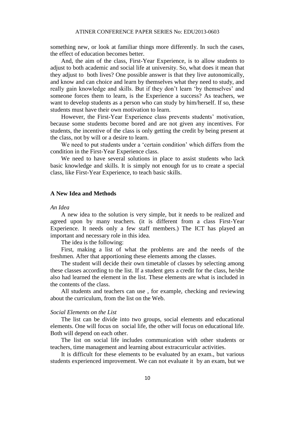something new, or look at familiar things more differently. In such the cases, the effect of education becomes better.

And, the aim of the class, First-Year Experience, is to allow students to adjust to both academic and social life at university. So, what does it mean that they adjust to both lives? One possible answer is that they live autonomically, and know and can choice and learn by themselves what they need to study, and really gain knowledge and skills. But if they don't learn 'by themselves' and someone forces them to learn, is the Experience a success? As teachers, we want to develop students as a person who can study by him/herself. If so, these students must have their own motivation to learn.

However, the First-Year Experience class prevents students' motivation, because some students become bored and are not given any incentives. For students, the incentive of the class is only getting the credit by being present at the class, not by will or a desire to learn.

We need to put students under a 'certain condition' which differs from the condition in the First-Year Experience class.

We need to have several solutions in place to assist students who lack basic knowledge and skills. It is simply not enough for us to create a special class, like First-Year Experience, to teach basic skills.

#### **A New Idea and Methods**

#### *An Idea*

A new idea to the solution is very simple, but it needs to be realized and agreed upon by many teachers. (it is different from a class First-Year Experience. It needs only a few staff members.) The ICT has played an important and necessary role in this idea.

The idea is the following:

First, making a list of what the problems are and the needs of the freshmen. After that apportioning these elements among the classes.

The student will decide their own timetable of classes by selecting among these classes according to the list. If a student gets a credit for the class, he/she also had learned the element in the list. These elements are what is included in the contents of the class.

All students and teachers can use , for example, checking and reviewing about the curriculum, from the list on the Web.

#### *Social Elements on the List*

The list can be divide into two groups, social elements and educational elements. One will focus on social life, the other will focus on educational life. Both will depend on each other.

The list on social life includes communication with other students or teachers, time management and learning about extracurricular activities.

It is difficult for these elements to be evaluated by an exam., but various students experienced improvement. We can not evaluate it by an exam, but we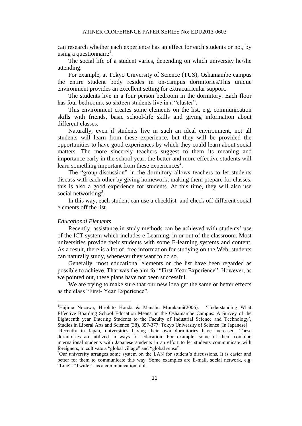can research whether each experience has an effect for each students or not, by using a questionnaire<sup>1</sup>.

The social life of a student varies, depending on which university he/she attending.

For example, at Tokyo University of Science (TUS), Oshamambe campus the entire student body resides in on-campus dormitories.This unique environment provides an excellent setting for extracurricular support.

The students live in a four person bedroom in the dormitory. Each floor has four bedrooms, so sixteen students live in a "cluster".

This environment creates some elements on the list, e.g. communication skills with friends, basic school-life skills and giving information about different classes.

Naturally, even if students live in such an ideal environment, not all students will learn from these experience, but they will be provided the opportunities to have good experiences by which they could learn about social matters. The more sincerely teachers suggest to them its meaning and importance early in the school year, the better and more effective students will learn something important from these experiences<sup>2</sup>.

The "group-discussion" in the dormitory allows teachers to let students discuss with each other by giving homework, making them prepare for classes. this is also a good experience for students. At this time, they will also use social networking<sup>3</sup>.

In this way, each student can use a checklist and check off different social elements off the list.

#### *Educational Elements*

l

Recently, assistance in study methods can be achieved with students' use of the ICT system which includes e-Learning, in or out of the classroom. Most universities provide their students with some E-learning systems and content. As a result, there is a lot of free information for studying on the Web, students can naturally study, whenever they want to do so.

Generally, most educational elements on the list have been regarded as possible to achieve. That was the aim for "First-Year Experience". However, as we pointed out, these plans have not been successful.

We are trying to make sure that our new idea get the same or better effects as the class "First- Year Experience".

<sup>1</sup>Hajime Nozawa, Hirohito Honda & Manabu Murakami(2006). 'Understanding What Effective Boarding School Education Means on the Oshamambe Campus: A Survey of the Eighteenth year Entering Students to the Faculty of Industrial Science and Technology', Studies in Liberal Arts and Science (38), 357-377. Tokyo University of Science [In Japanese] <sup>2</sup>Recently in Japan, universities having their own dormitories have increased. These

dormitories are utilized in ways for education. For example, some of them combine international students with Japanese students in an effort to let students communicate with foreigners, to cultivate a "global village" and "global sense".

<sup>3</sup>Our university arranges some system on the LAN for student's discussions. It is easier and better for them to communicate this way. Some examples are E-mail, social network, e.g. "Line", "Twitter", as a communication tool.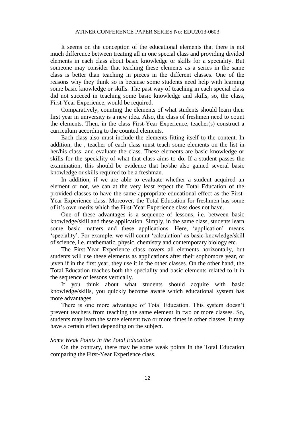It seems on the conception of the educational elements that there is not much difference between treating all in one special class and providing divided elements in each class about basic knowledge or skills for a speciality. But someone may consider that teaching these elements as a series in the same class is better than teaching in pieces in the different classes. One of the reasons why they think so is because some students need help with learning some basic knowledge or skills. The past way of teaching in each special class did not succeed in teaching some basic knowledge and skills, so, the class, First-Year Experience, would be required.

Comparatively, counting the elements of what students should learn their first year in university is a new idea. Also, the class of freshmen need to count the elements. Then, in the class First-Year Experience, teacher(s) construct a curriculum according to the counted elements.

Each class also must include the elements fitting itself to the content. In addition, the , teacher of each class must teach some elements on the list in her/his class, and evaluate the class. These elements are basic knowledge or skills for the speciality of what that class aims to do. If a student passes the examination, this should be evidence that he/she also gained several basic knowledge or skills required to be a freshman.

In addition, if we are able to evaluate whether a student acquired an element or not, we can at the very least expect the Total Education of the provided classes to have the same appropriate educational effect as the First-Year Experience class. Moreover, the Total Education for freshmen has some of it's own merits which the First-Year Experience class does not have.

One of these advantages is a sequence of lessons, i.e. between basic knowledge/skill and these application. Simply, in the same class, students learn some basic matters and these applications. Here, 'application' means 'speciality'. For example. we will count 'calculation' as basic knowledge/skill of science, i.e. mathematic, physic, chemistry and contemporary biology etc.

The First-Year Experience class covers all elements horizontally, but students will use these elements as applications after their sophomore year, or ,even if in the first year, they use it in the other classes. On the other hand, the Total Education teaches both the speciality and basic elements related to it in the sequence of lessons vertically.

If you think about what students should acquire with basic knowledge/skills, you quickly become aware which educational system has more advantages.

There is one more advantage of Total Education. This system doesn't prevent teachers from teaching the same element in two or more classes. So, students may learn the same element two or more times in other classes. It may have a certain effect depending on the subject.

#### *Some Weak Points in the Total Education*

On the contrary, there may be some weak points in the Total Education comparing the First-Year Experience class.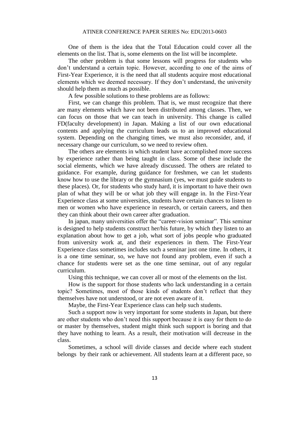One of them is the idea that the Total Education could cover all the elements on the list. That is, some elements on the list will be incomplete.

The other problem is that some lessons will progress for students who don't understand a certain topic. However, according to one of the aims of First-Year Experience, it is the need that all students acquire most educational elements which we deemed necessary. If they don't understand, the university should help them as much as possible.

A few possible solutions to these problems are as follows:

First, we can change this problem. That is, we must recognize that there are many elements which have not been distributed among classes. Then, we can focus on those that we can teach in university. This change is called FD(faculty development) in Japan. Making a list of our own educational contents and applying the curriculum leads us to an improved educational system. Depending on the changing times, we must also reconsider, and, if necessary change our curriculum, so we need to review often.

The others are elements in which student have accomplished more success by experience rather than being taught in class. Some of these include the social elements, which we have already discussed. The others are related to guidance. For example, during guidance for freshmen, we can let students know how to use the library or the gymnasium (yes, we must guide students to these places). Or, for students who study hard, it is important to have their own plan of what they will be or what job they will engage in. In the First-Year Experience class at some universities, students have certain chances to listen to men or women who have experience in research, or certain careers, and then they can think about their own career after graduation.

In japan, many universities offer the "career-vision seminar". This seminar is designed to help students construct her/his future, by which they listen to an explanation about how to get a job, what sort of jobs people who graduated from university work at, and their experiences in them. The First-Year Experience class sometimes includes such a seminar just one time. In others, it is a one time seminar, so, we have not found any problem, even if such a chance for students were set as the one time seminar, out of any regular curriculum.

Using this technique, we can cover all or most of the elements on the list.

How is the support for those students who lack understanding in a certain topic? Sometimes, most of those kinds of students don't reflect that they themselves have not understood, or are not even aware of it.

Maybe, the First-Year Experience class can help such students.

Such a support now is very important for some students in Japan, but there are other students who don't need this support because it is easy for them to do or master by themselves, student might think such support is boring and that they have nothing to learn. As a result, their motivation will decrease in the class.

Sometimes, a school will divide classes and decide where each student belongs by their rank or achievement. All students learn at a different pace, so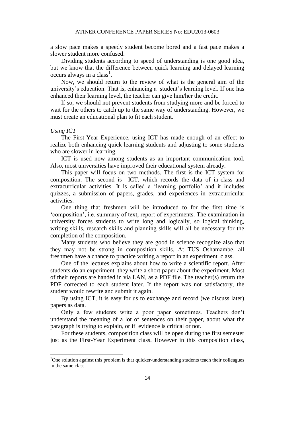a slow pace makes a speedy student become bored and a fast pace makes a slower student more confused.

Dividing students according to speed of understanding is one good idea, but we know that the difference between quick learning and delayed learning occurs always in a class<sup>1</sup>.

Now, we should return to the review of what is the general aim of the university's education. That is, enhancing a student's learning level. If one has enhanced their learning level, the teacher can give him/her the credit.

If so, we should not prevent students from studying more and be forced to wait for the others to catch up to the same way of understanding. However, we must create an educational plan to fit each student.

#### *Using ICT*

 $\overline{a}$ 

The First-Year Experience, using ICT has made enough of an effect to realize both enhancing quick learning students and adjusting to some students who are slower in learning.

ICT is used now among students as an important communication tool. Also, most universities have improved their educational system already.

This paper will focus on two methods. The first is the ICT system for composition. The second is ICT, which records the data of in-class and extracurricular activities. It is called a 'learning portfolio' and it includes quizzes, a submission of papers, grades, and experiences in extracurricular activities.

One thing that freshmen will be introduced to for the first time is 'composition', i.e. summary of text, report of experiments. The examination in university forces students to write long and logically, so logical thinking, writing skills, research skills and planning skills will all be necessary for the completion of the composition.

Many students who believe they are good in science recognize also that they may not be strong in composition skills. At TUS Oshamambe, all freshmen have a chance to practice writing a report in an experiment class.

One of the lectures explains about how to write a scientific report. After students do an experiment they write a short paper about the experiment. Most of their reports are handed in via LAN, as a PDF file. The teacher(s) return the PDF corrected to each student later. If the report was not satisfactory, the student would rewrite and submit it again.

By using ICT, it is easy for us to exchange and record (we discuss later) papers as data.

Only a few students write a poor paper sometimes. Teachers don't understand the meaning of a lot of sentences on their paper, about what the paragraph is trying to explain, or if evidence is critical or not.

For these students, composition class will be open during the first semester just as the First-Year Experiment class. However in this composition class,

<sup>&</sup>lt;sup>1</sup>One solution against this problem is that quicker-understanding students teach their colleagues in the same class.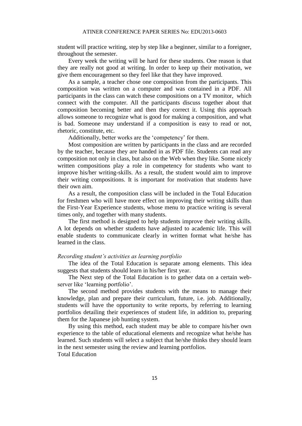student will practice writing, step by step like a beginner, similar to a foreigner, throughout the semester.

Every week the writing will be hard for these students. One reason is that they are really not good at writing. In order to keep up their motivation, we give them encouragement so they feel like that they have improved.

As a sample, a teacher chose one composition from the participants. This composition was written on a computer and was contained in a PDF. All participants in the class can watch these compositions on a TV monitor, which connect with the computer. All the participants discuss together about that composition becoming better and then they correct it. Using this approach allows someone to recognize what is good for making a composition, and what is bad. Someone may understand if a composition is easy to read or not, rhetoric, constitute, etc.

Additionally, better works are the 'competency' for them.

Most composition are written by participants in the class and are recorded by the teacher, because they are handed in as PDF file. Students can read any composition not only in class, but also on the Web when they like. Some nicely written compositions play a role in competency for students who want to improve his/her writing-skills. As a result, the student would aim to improve their writing compositions. It is important for motivation that students have their own aim.

As a result, the composition class will be included in the Total Education for freshmen who will have more effect on improving their writing skills than the First-Year Experience students, whose menu to practice writing is several times only, and together with many students.

The first method is designed to help students improve their writing skills. A lot depends on whether students have adjusted to academic life. This will enable students to communicate clearly in written format what he/she has learned in the class.

#### *Recording student's activities as learning portfolio*

The idea of the Total Education is separate among elements. This idea suggests that students should learn in his/her first year.

The Next step of the Total Education is to gather data on a certain webserver like 'learning portfolio'.

The second method provides students with the means to manage their knowledge, plan and prepare their curriculum, future, i.e. job. Additionally, students will have the opportunity to write reports, by referring to learning portfolios detailing their experiences of student life, in addition to, preparing them for the Japanese job hunting system.

By using this method, each student may be able to compare his/her own experience to the table of educational elements and recognize what he/she has learned. Such students will select a subject that he/she thinks they should learn in the next semester using the review and learning portfolios. Total Education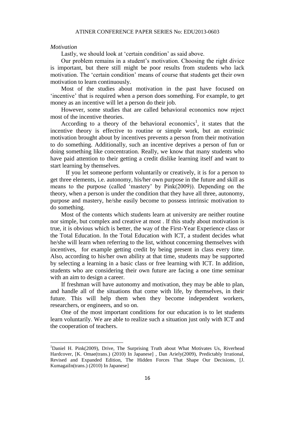#### *Motivation*

 $\overline{a}$ 

Lastly, we should look at 'certain condition' as said above.

Our problem remains in a student's motivation. Choosing the right divice is important, but there still might be poor results from students who lack motivation. The 'certain condition' means of course that students get their own motivation to learn continuously.

Most of the studies about motivation in the past have focused on 'incentive' that is required when a person does something. For example, to get money as an incentive will let a person do their job.

However, some studies that are called behavioral economics now reject most of the incentive theories.

According to a theory of the behavioral economics<sup>1</sup>, it states that the incentive theory is effective to routine or simple work, but an extrinsic motivation brought about by incentives prevents a person from their motivation to do something. Additionally, such an incentive deprives a person of fun or doing something like concentration. Really, we know that many students who have paid attention to their getting a credit dislike learning itself and want to start learning by themselves.

 If you let someone perform voluntarily or creatively, it is for a person to get three elements, i.e. autonomy, his/her own purpose in the future and skill as means to the purpose (called 'mastery' by Pink(2009)). Depending on the theory, when a person is under the condition that they have all three, autonomy, purpose and mastery, he/she easily become to possess intrinsic motivation to do something.

Most of the contents which students learn at university are neither routine nor simple, but complex and creative at most . If this study about motivation is true, it is obvious which is better, the way of the First-Year Experience class or the Total Education. In the Total Education with ICT, a student decides what he/she will learn when referring to the list, without concerning themselves with incentives, for example getting credit by being present in class every time. Also, according to his/her own ability at that time, students may be supported by selecting a learning in a basic class or free learning with ICT. In addition, students who are considering their own future are facing a one time seminar with an aim to design a career.

If freshman will have autonomy and motivation, they may be able to plan, and handle all of the situations that come with life, by themselves, in their future. This will help them when they become independent workers, researchers, or engineers, and so on.

One of the most important conditions for our education is to let students learn voluntarily. We are able to realize such a situation just only with ICT and the cooperation of teachers.

<sup>&</sup>lt;sup>1</sup>Daniel H. Pink(2009), Drive, The Surprising Truth about What Motivates Us, Riverhead Hardcover, [K. Omae(trans.) (2010) In Japanese] , Dan Ariely(2009), Predictably Irrational, Revised and Expanded Edition, The Hidden Forces That Shape Our Decisions, [J. KumagaiIn(trans.) (2010) In Japanese]